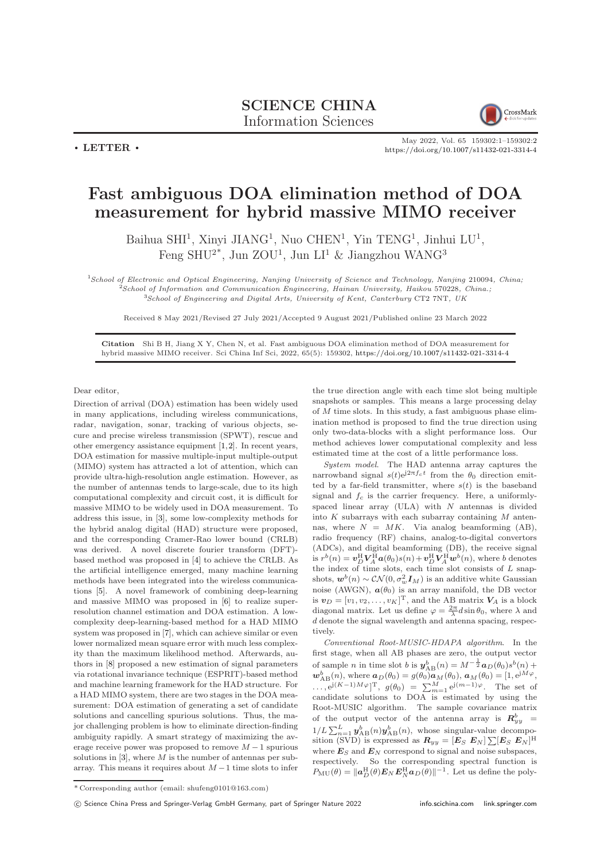## SCIENCE CHINA Information Sciences



 $\cdot$  LETTER  $\cdot$ 

May 2022, Vol. 65 159302:1–159302[:2](#page-1-0) <https://doi.org/10.1007/s11432-021-3314-4>

## Fast ambiguous DOA elimination method of DOA measurement for hybrid massive MIMO receiver

Baihua SHI<sup>1</sup>, Xinyi JIANG<sup>1</sup>, Nuo CHEN<sup>1</sup>, Yin TENG<sup>1</sup>, Jinhui LU<sup>1</sup>, Feng SHU<sup>2\*</sup>, Jun ZOU<sup>1</sup>, Jun LI<sup>1</sup> & Jiangzhou WANG<sup>3</sup>

<sup>1</sup>School of Electronic and Optical Engineering, Nanjing University of Science and Technology, Nanjing 210094, China;  $2$ School of Information and Communication Engineering, Hainan University, Haikou 570228, China.; <sup>3</sup>School of Engineering and Digital Arts, University of Kent, Canterbury CT2 7NT, UK

Received 8 May 2021/Revised 27 July 2021/Accepted 9 August 2021/Published online 23 March 2022

Citation Shi B H, Jiang X Y, Chen N, et al. Fast ambiguous DOA elimination method of DOA measurement for hybrid massive MIMO receiver. Sci China Inf Sci, 2022, 65(5): 159302, <https://doi.org/10.1007/s11432-021-3314-4>

Dear editor,

Direction of arrival (DOA) estimation has been widely used in many applications, including wireless communications, radar, navigation, sonar, tracking of various objects, secure and precise wireless transmission (SPWT), rescue and other emergency assistance equipment [\[1,](#page-1-1)[2\]](#page-1-2). In recent years, DOA estimation for massive multiple-input multiple-output (MIMO) system has attracted a lot of attention, which can provide ultra-high-resolution angle estimation. However, as the number of antennas tends to large-scale, due to its high computational complexity and circuit cost, it is difficult for massive MIMO to be widely used in DOA measurement. To address this issue, in [\[3\]](#page-1-3), some low-complexity methods for the hybrid analog digital (HAD) structure were proposed, and the corresponding Cramer-Rao lower bound (CRLB) was derived. A novel discrete fourier transform (DFT) based method was proposed in [\[4\]](#page-1-4) to achieve the CRLB. As the artificial intelligence emerged, many machine learning methods have been integrated into the wireless communications [\[5\]](#page-1-5). A novel framework of combining deep-learning and massive MIMO was proposed in [\[6\]](#page-1-6) to realize superresolution channel estimation and DOA estimation. A lowcomplexity deep-learning-based method for a HAD MIMO system was proposed in [\[7\]](#page-1-7), which can achieve similar or even lower normalized mean square error with much less complexity than the maximum likelihood method. Afterwards, authors in [\[8\]](#page-1-8) proposed a new estimation of signal parameters via rotational invariance technique (ESPRIT)-based method and machine learning framework for the HAD structure. For a HAD MIMO system, there are two stages in the DOA measurement: DOA estimation of generating a set of candidate solutions and cancelling spurious solutions. Thus, the major challenging problem is how to eliminate direction-finding ambiguity rapidly. A smart strategy of maximizing the average receive power was proposed to remove  $M-1$  spurious solutions in  $[3]$ , where M is the number of antennas per subarray. This means it requires about  $M-1$  time slots to infer

the true direction angle with each time slot being multiple snapshots or samples. This means a large processing delay of  $M$  time slots. In this study, a fast ambiguous phase elimination method is proposed to find the true direction using only two-data-blocks with a slight performance loss. Our method achieves lower computational complexity and less estimated time at the cost of a little performance loss.

System model. The HAD antenna array captures the narrowband signal  $s(t)e^{j2\pi f_c t}$  from the  $\theta_0$  direction emitted by a far-field transmitter, where  $s(t)$  is the baseband signal and  $f_c$  is the carrier frequency. Here, a uniformlyspaced linear array (ULA) with  $N$  antennas is divided into  $K$  subarrays with each subarray containing  $M$  antennas, where  $N = MK$ . Via analog beamforming (AB), radio frequency (RF) chains, analog-to-digital convertors (ADCs), and digital beamforming (DB), the receive signal is  $r^b(n) = \boldsymbol{v}_D^{\text{H}} \boldsymbol{V}_A^{\text{H}} \boldsymbol{a}(\theta_0) s(n) + \boldsymbol{v}_D^{\text{H}} \boldsymbol{V}_A^{\text{H}} \boldsymbol{w}^b(n)$ , where b denotes the index of time slots, each time slot consists of  $L$  snapshots,  $\mathbf{w}^b(n) \sim \mathcal{CN}(0, \sigma_w^2 \mathbf{I}_M)$  is an additive white Gaussian noise (AWGN),  $a(\theta_0)$  is an array manifold, the DB vector is  $\mathbf{v}_D = [v_1, v_2, \dots, v_K]^{\mathrm{T}}$ , and the AB matrix  $\mathbf{V}_A$  is a block diagonal matrix. Let us define  $\varphi = \frac{2\pi}{\lambda} d \sin \theta_0$ , where  $\lambda$  and  $d$  denote the signal wavelength and antenna spacing, respectively.

Conventional Root-MUSIC-HDAPA algorithm. In the first stage, when all AB phases are zero, the output vector of sample *n* in time slot *b* is  $y_{AB}^b(n) = M^{-\frac{1}{2}} a_D(\theta_0) s^b(n) +$  $\mathbf{w}_{AB}^b(n)$ , where  $\mathbf{a}_D(\theta_0) = g(\theta_0)\mathbf{a}_M(\theta_0)$ ,  $\mathbf{a}_M(\theta_0) = [1, e^{jM\varphi},$  $\ldots$ ,  $e^{j(K-1)M\varphi}]^T$ ,  $g(\theta_0) = \sum_{m=1}^M e^{j(m-1)\varphi}$ . The set of candidate solutions to DOA is estimated by using the Root-MUSIC algorithm. The sample covariance matrix of the output vector of the antenna array is  $\mathbf{R}^b_{yy}$  =  $1/L \sum_{n=1}^{L} y_{AB}^{b}(n)y_{AB}^{b}(n)$ , whose singular-value decomposition (SVD) is expressed as  $\boldsymbol{R}_{yy} = [\boldsymbol{E}_S \ \boldsymbol{E}_N] \sum [\boldsymbol{E}_S \ \boldsymbol{E}_N]^{\mathrm{H}}$ where  $\boldsymbol{E}_S$  and  $\boldsymbol{E}_N$  correspond to signal and noise subspaces, respectively. So the corresponding spectral function is  $P_{\rm MU}(\theta) = ||a_{D}^{\rm H}(\theta)E_{N}E_{N}^{\rm H}a_{D}(\theta)||^{-1}$ . Let us define the poly-

<sup>\*</sup> Corresponding author (email: shufeng0101@163.com)

c Science China Press and Springer-Verlag GmbH Germany, part of Springer Nature 2022 <info.scichina.com><link.springer.com>